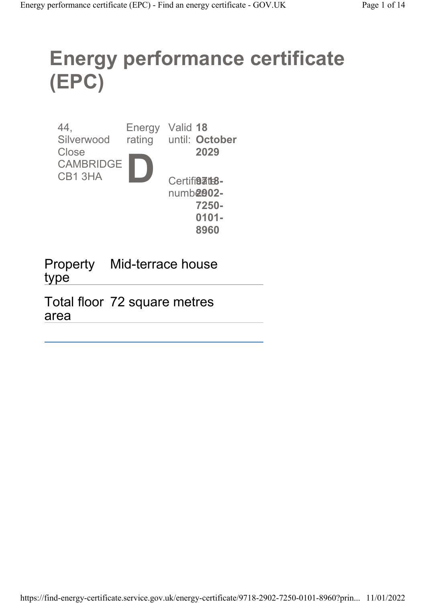# Energy performance certificate (EPC)

| 44,<br>Silverwood                   | <b>Energy</b><br>rating | Valid 18<br>until: October   |
|-------------------------------------|-------------------------|------------------------------|
| Close<br><b>CAMBRIDGE</b><br>CB13HA |                         | 2029<br>Certifi <b>9atB-</b> |
|                                     |                         | numb <b>2902-</b>            |
|                                     |                         | 7250-                        |
|                                     |                         | $0101 -$                     |
|                                     |                         | 8960                         |

Property Mid-terrace house type

Total floor 72 square metres area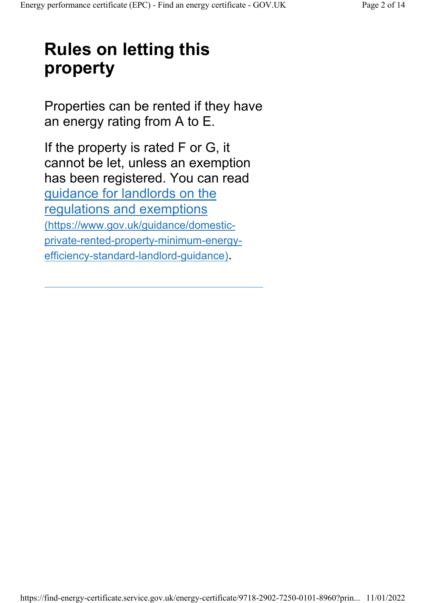## Rules on letting this property

Properties can be rented if they have an energy rating from A to E.

If the property is rated F or G, it cannot be let, unless an exemption has been registered. You can read guidance for landlords on the regulations and exemptions (https://www.gov.uk/guidance/domesticprivate-rented-property-minimum-energyefficiency-standard-landlord-guidance).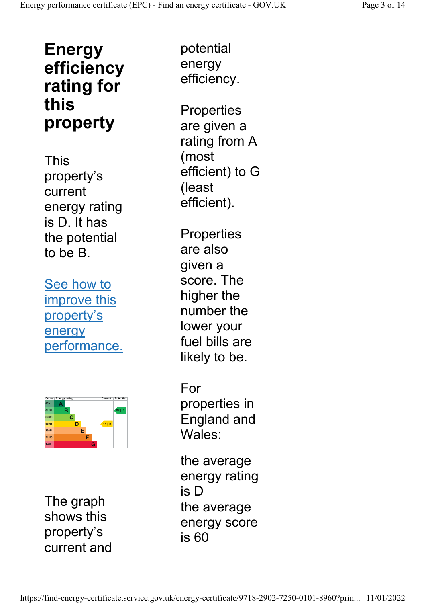### Energy efficiency rating for this property

This property's current energy rating is D. It has the potential to be B.

See how to improve this property's energy performance.



The graph shows this property's current and

potential energy efficiency.

**Properties** are given a rating from A (most efficient) to G (least efficient).

**Properties** are also given a score. The higher the number the lower your fuel bills are likely to be.

For properties in England and Wales:

the average energy rating is D the average energy score is 60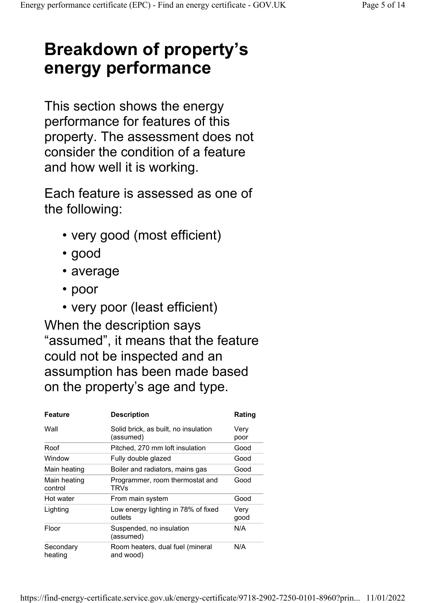### Breakdown of property's energy performance

This section shows the energy performance for features of this property. The assessment does not consider the condition of a feature and how well it is working.

Each feature is assessed as one of the following:

- very good (most efficient)
- good
- average
- poor
- very poor (least efficient)

When the description says "assumed", it means that the feature could not be inspected and an assumption has been made based on the property's age and type.

| <b>Feature</b>          | <b>Description</b>                                | Rating       |
|-------------------------|---------------------------------------------------|--------------|
| Wall                    | Solid brick, as built, no insulation<br>(assumed) | Verv<br>poor |
| Roof                    | Pitched, 270 mm loft insulation                   | Good         |
| Window                  | Fully double glazed                               | Good         |
| Main heating            | Boiler and radiators, mains gas                   | Good         |
| Main heating<br>control | Programmer, room thermostat and<br>TRVs           | Good         |
| Hot water               | From main system                                  | Good         |
| Lighting                | Low energy lighting in 78% of fixed<br>outlets    | Very<br>good |
| Floor                   | Suspended, no insulation<br>(assumed)             | N/A          |
| Secondary<br>heating    | Room heaters, dual fuel (mineral<br>and wood)     | N/A          |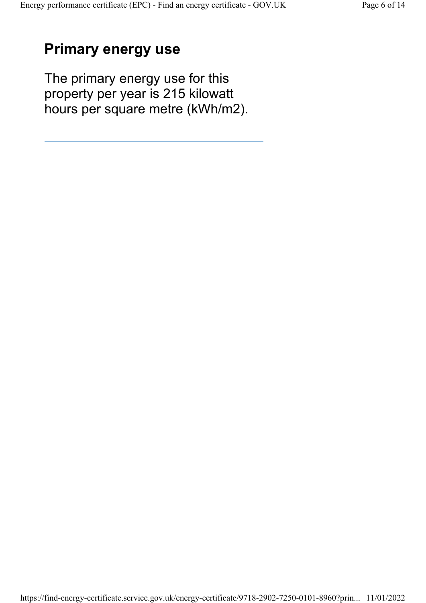### Primary energy use

The primary energy use for this property per year is 215 kilowatt hours per square metre (kWh/m2).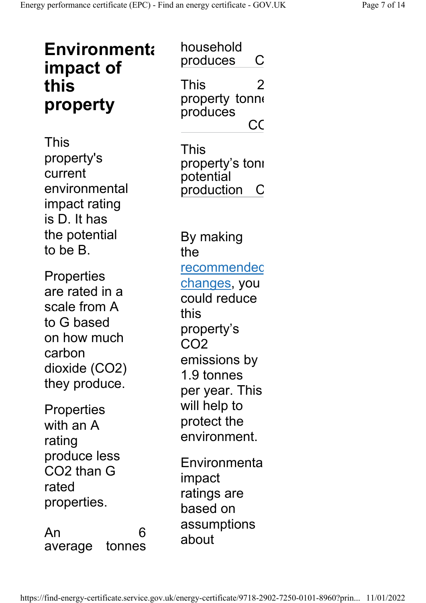| <b>Environmenta</b><br>impact of<br>this<br>property                                                                         | household<br>produces<br>С<br>This<br>2<br>property tonne<br>produces<br>CC                                                                  |
|------------------------------------------------------------------------------------------------------------------------------|----------------------------------------------------------------------------------------------------------------------------------------------|
| This<br>property's<br>current<br>environmental<br>impact rating<br>is D. It has                                              | This<br>property's toni<br>potential<br>production<br>C                                                                                      |
| the potential<br>to be B.                                                                                                    | By making<br>the                                                                                                                             |
| <b>Properties</b><br>are rated in a<br>scale from A<br>to G based<br>on how much<br>carbon<br>dioxide (CO2)<br>they produce. | recommendec<br><u>changes</u> , you<br>could reduce<br>this<br>property's<br>CO <sub>2</sub><br>emissions by<br>1.9 tonnes<br>per year. This |
| <b>Properties</b><br>with an A<br>rating                                                                                     | will help to<br>protect the<br>environment.                                                                                                  |
| produce less<br>CO2 than G<br>rated<br>properties.                                                                           | Environmenta<br>impact<br>ratings are<br>based on                                                                                            |
| 6<br>An<br>tonnes<br>average                                                                                                 | assumptions<br>about                                                                                                                         |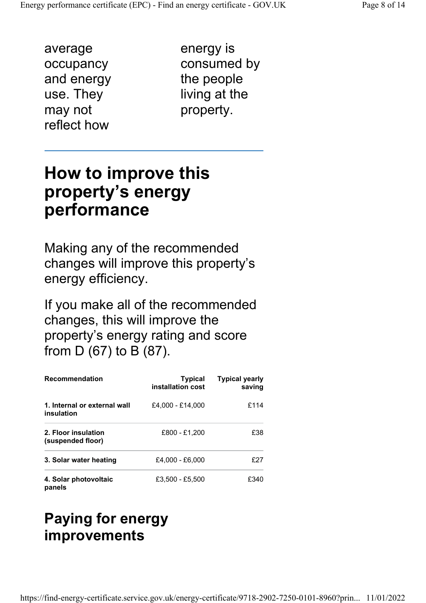average occupancy and energy use. They may not reflect how

energy is consumed by the people living at the property.

#### How to improve this property's energy performance

Making any of the recommended changes will improve this property's energy efficiency.

If you make all of the recommended changes, this will improve the property's energy rating and score from D (67) to B (87).

| <b>Recommendation</b>                      | <b>Typical</b><br>installation cost | <b>Typical yearly</b><br>saving |
|--------------------------------------------|-------------------------------------|---------------------------------|
| 1. Internal or external wall<br>insulation | £4.000 - £14.000                    | £114                            |
| 2. Floor insulation<br>(suspended floor)   | £800 - £1.200                       | £38                             |
| 3. Solar water heating                     | £4,000 - £6,000                     | £27                             |
| 4. Solar photovoltaic<br>panels            | £3.500 - £5.500                     | £340                            |

#### Paying for energy improvements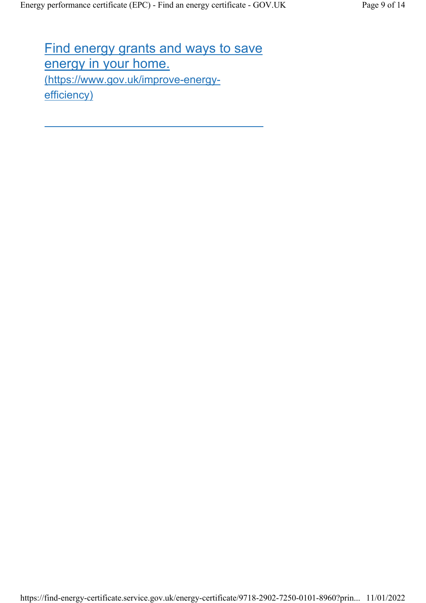Find energy grants and ways to save energy in your home. (https://www.gov.uk/improve-energyefficiency)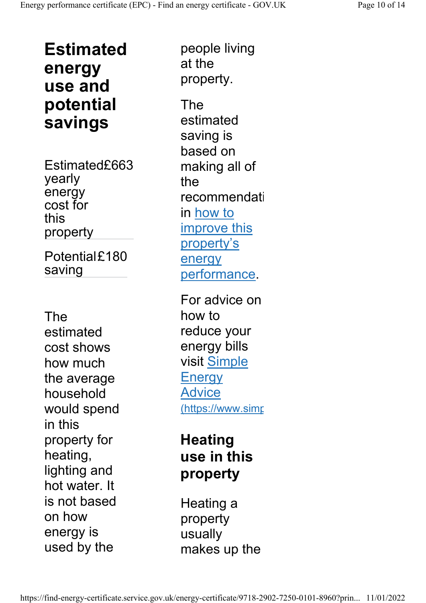Estimated energy use and potential savings

Estimated£663 yearly energy cost for this property

Potential£180 saving

The estimated cost shows how much the average household would spend in this property for heating, lighting and hot water. It is not based on how energy is used by the

people living at the property.

The estimated saving is based on making all of the recommendati in how to improve this property's energy performance.

For advice on how to reduce your energy bills visit Simple **Energy** Advice (https://www.simp

#### **Heating** use in this property

Heating a property usually makes up the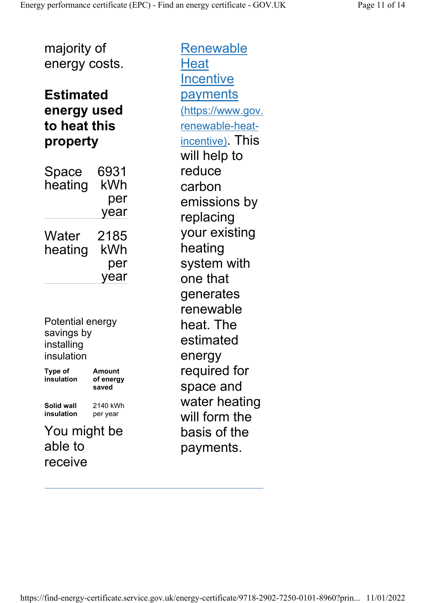majority of energy costs.

#### Estimated energy used to heat this property

| Space<br>heating | 6931<br>kWh |
|------------------|-------------|
|                  | per         |
|                  | year        |
| Water            | 2185        |
| heating          | kWh         |
|                  | per         |
|                  | year        |

Potential energy savings by installing insulation

Type of insulation Amount of energy saved Solid wall insulation 2140 kWh per year

You might be able to receive

**Renewable Heat Incentive** payments (https://www.gov. renewable-heatincentive). This will help to reduce carbon emissions by replacing your existing heating system with one that generates renewable heat. The estimated energy required for space and water heating will form the basis of the payments.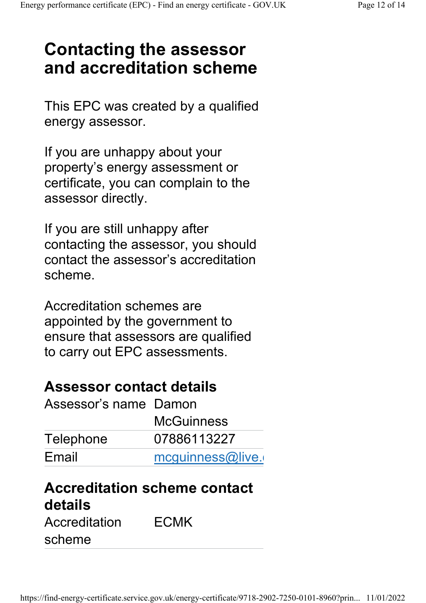## Contacting the assessor and accreditation scheme

This EPC was created by a qualified energy assessor.

If you are unhappy about your property's energy assessment or certificate, you can complain to the assessor directly.

If you are still unhappy after contacting the assessor, you should contact the assessor's accreditation scheme.

Accreditation schemes are appointed by the government to ensure that assessors are qualified to carry out EPC assessments.

#### Assessor contact details

| Assessor's name Damon |                   |  |
|-----------------------|-------------------|--|
|                       | <b>McGuinness</b> |  |
| Telephone             | 07886113227       |  |
| Email                 | mcquinness@live.  |  |
|                       |                   |  |

### Accreditation scheme contact details

Accreditation scheme ECMK